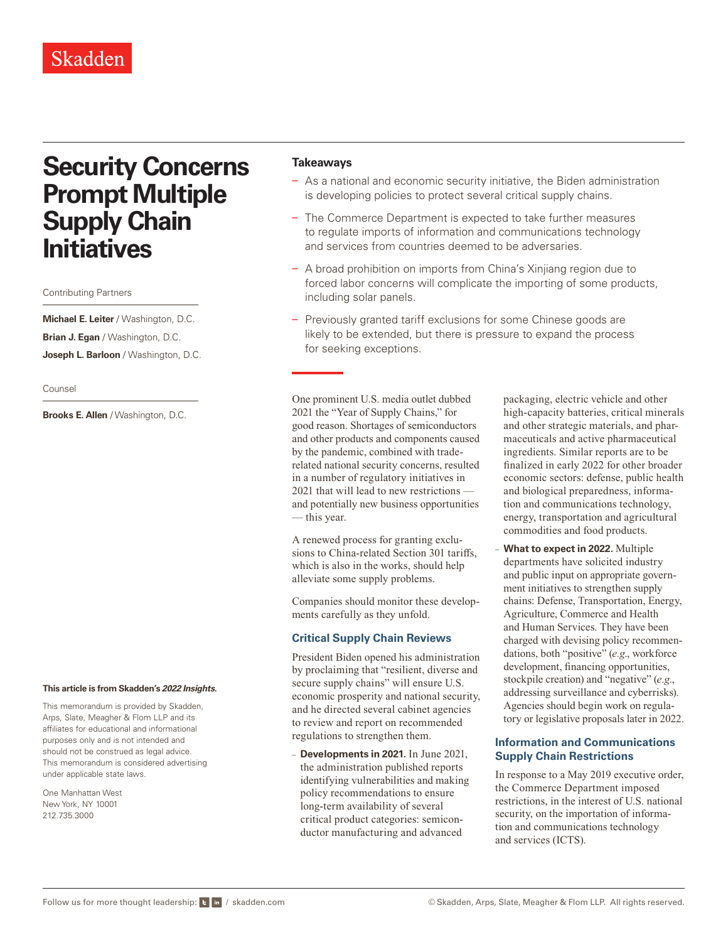## Skadden

# **Security Concerns Prompt Multiple Supply Chain Initiatives**

Contributing Partners

**Michael E. Leiter** / Washington, D.C. **Brian J. Egan** / Washington, D.C. **Joseph L. Barloon** / Washington, D.C.

Counsel

**Brooks E. Allen** / Washington, D.C.

#### **This article is from Skadden's** *[2022 Insights](https://www.skadden.com/insights/publications/2022/01/2022-insights/2022-insights)***.**

This memorandum is provided by Skadden, Arps, Slate, Meagher & Flom LLP and its affiliates for educational and informational purposes only and is not intended and should not be construed as legal advice. This memorandum is considered advertising under applicable state laws.

One Manhattan West New York, NY 10001 212.735.3000

#### **Takeaways**

- As a national and economic security initiative, the Biden administration is developing policies to protect several critical supply chains.
- The Commerce Department is expected to take further measures to regulate imports of information and communications technology and services from countries deemed to be adversaries.
- A broad prohibition on imports from China's Xinjiang region due to forced labor concerns will complicate the importing of some products, including solar panels.
- Previously granted tariff exclusions for some Chinese goods are likely to be extended, but there is pressure to expand the process for seeking exceptions.

One prominent U.S. media outlet dubbed 2021 the "Year of Supply Chains," for good reason. Shortages of semiconductors and other products and components caused by the pandemic, combined with traderelated national security concerns, resulted in a number of regulatory initiatives in 2021 that will lead to new restrictions and potentially new business opportunities — this year.

A renewed process for granting exclusions to China-related Section 301 tariffs, which is also in the works, should help alleviate some supply problems.

Companies should monitor these developments carefully as they unfold.

#### **Critical Supply Chain Reviews**

President Biden opened his administration by proclaiming that "resilient, diverse and secure supply chains" will ensure U.S. economic prosperity and national security, and he directed several cabinet agencies to review and report on recommended regulations to strengthen them.

– **Developments in 2021.** In June 2021, the administration published reports identifying vulnerabilities and making policy recommendations to ensure long-term availability of several critical product categories: semiconductor manufacturing and advanced

packaging, electric vehicle and other high-capacity batteries, critical minerals and other strategic materials, and pharmaceuticals and active pharmaceutical ingredients. Similar reports are to be finalized in early 2022 for other broader economic sectors: defense, public health and biological preparedness, information and communications technology, energy, transportation and agricultural commodities and food products.

– **What to expect in 2022.** Multiple departments have solicited industry and public input on appropriate government initiatives to strengthen supply chains: Defense, Transportation, Energy, Agriculture, Commerce and Health and Human Services. They have been charged with devising policy recommendations, both "positive" (*e.g*., workforce development, financing opportunities, stockpile creation) and "negative" (*e.g*., addressing surveillance and cyberrisks). Agencies should begin work on regulatory or legislative proposals later in 2022.

#### **Information and Communications Supply Chain Restrictions**

In response to a May 2019 executive order, the Commerce Department imposed restrictions, in the interest of U.S. national security, on the importation of information and communications technology and services (ICTS).